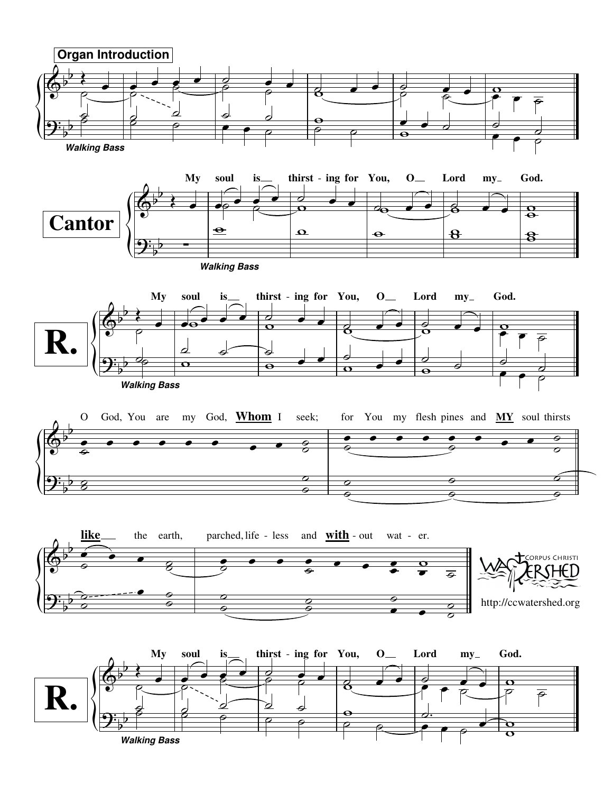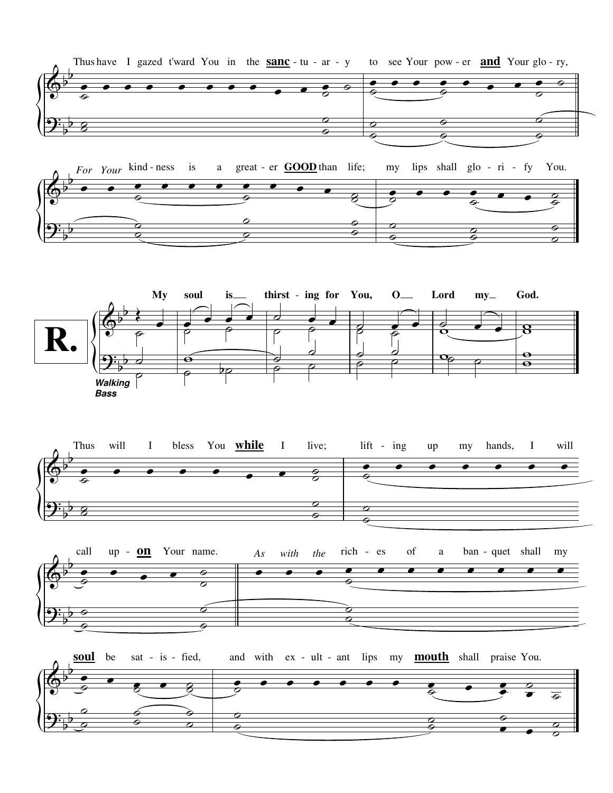